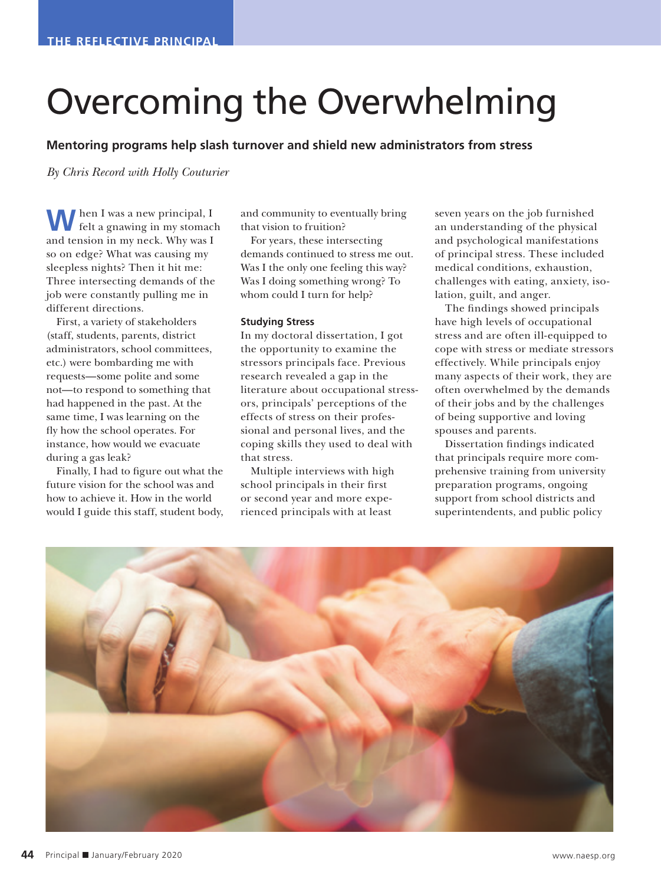## Overcoming the Overwhelming

**Mentoring programs help slash turnover and shield new administrators from stress** 

*By Chris Record with Holly Couturier*

**W**hen I was a new principal, I felt a gnawing in my stomach and tension in my neck. Why was I so on edge? What was causing my sleepless nights? Then it hit me: Three intersecting demands of the job were constantly pulling me in different directions.

First, a variety of stakeholders (staff, students, parents, district administrators, school committees, etc.) were bombarding me with requests—some polite and some not—to respond to something that had happened in the past. At the same time, I was learning on the fly how the school operates. For instance, how would we evacuate during a gas leak?

Finally, I had to figure out what the future vision for the school was and how to achieve it. How in the world would I guide this staff, student body, and community to eventually bring that vision to fruition?

For years, these intersecting demands continued to stress me out. Was I the only one feeling this way? Was I doing something wrong? To whom could I turn for help?

## **Studying Stress**

In my doctoral dissertation, I got the opportunity to examine the stressors principals face. Previous research revealed a gap in the literature about occupational stressors, principals' perceptions of the effects of stress on their professional and personal lives, and the coping skills they used to deal with that stress.

Multiple interviews with high school principals in their first or second year and more experienced principals with at least

seven years on the job furnished an understanding of the physical and psychological manifestations of principal stress. These included medical conditions, exhaustion, challenges with eating, anxiety, isolation, guilt, and anger.

The findings showed principals have high levels of occupational stress and are often ill-equipped to cope with stress or mediate stressors effectively. While principals enjoy many aspects of their work, they are often overwhelmed by the demands of their jobs and by the challenges of being supportive and loving spouses and parents.

Dissertation findings indicated that principals require more comprehensive training from university preparation programs, ongoing support from school districts and superintendents, and public policy